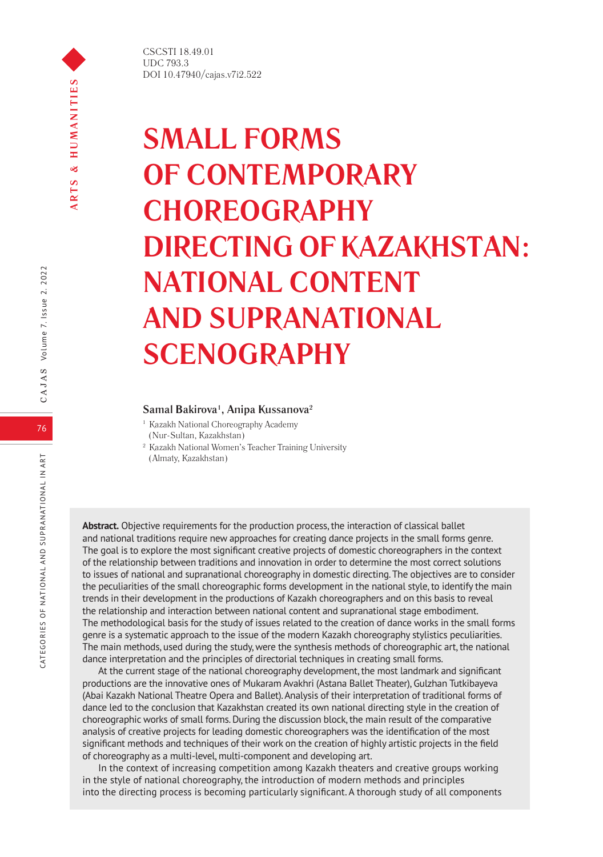CSCSTI 18.49.01 UDC 793.3 DOI 10.47940/cajas.v7i2.522

# **SMALL FORMS OF CONTEMPORARY CHOREOGRAPHY DIRECTING OF KAZAKHSTAN: NATIONAL CONTENT AND SUPRANATIONAL SCENOGRAPHY**

# **Samal Bakirova1 , Anipa Kussanova2**

- <sup>1</sup> Kazakh National Choreography Academy (Nur-Sultan, Kazakhstan)
- <sup>2</sup> Kazakh National Women's Teacher Training University (Almaty, Kazakhstan)

**Abstract.** Objective requirements for the production process, the interaction of classical ballet and national traditions require new approaches for creating dance projects in the small forms genre. The goal is to explore the most significant creative projects of domestic choreographers in the context of the relationship between traditions and innovation in order to determine the most correct solutions to issues of national and supranational choreography in domestic directing. The objectives are to consider the peculiarities of the small choreographic forms development in the national style, to identify the main trends in their development in the productions of Kazakh choreographers and on this basis to reveal the relationship and interaction between national content and supranational stage embodiment. The methodological basis for the study of issues related to the creation of dance works in the small forms genre is a systematic approach to the issue of the modern Kazakh choreography stylistics peculiarities. The main methods, used during the study, were the synthesis methods of choreographic art, the national dance interpretation and the principles of directorial techniques in creating small forms.

At the current stage of the national choreography development, the most landmark and significant productions are the innovative ones of Mukaram Avakhri (Astana Ballet Theater), Gulzhan Tutkibayeva (Abai Kazakh National Theatre Opera and Ballet). Analysis of their interpretation of traditional forms of dance led to the conclusion that Kazakhstan created its own national directing style in the creation of choreographic works of small forms. During the discussion block, the main result of the comparative analysis of creative projects for leading domestic choreographers was the identification of the most significant methods and techniques of their work on the creation of highly artistic projects in the field of choreography as a multi-level, multi-component and developing art.

In the context of increasing competition among Kazakh theaters and creative groups working in the style of national choreography, the introduction of modern methods and principles into the directing process is becoming particularly significant. A thorough study of all components

76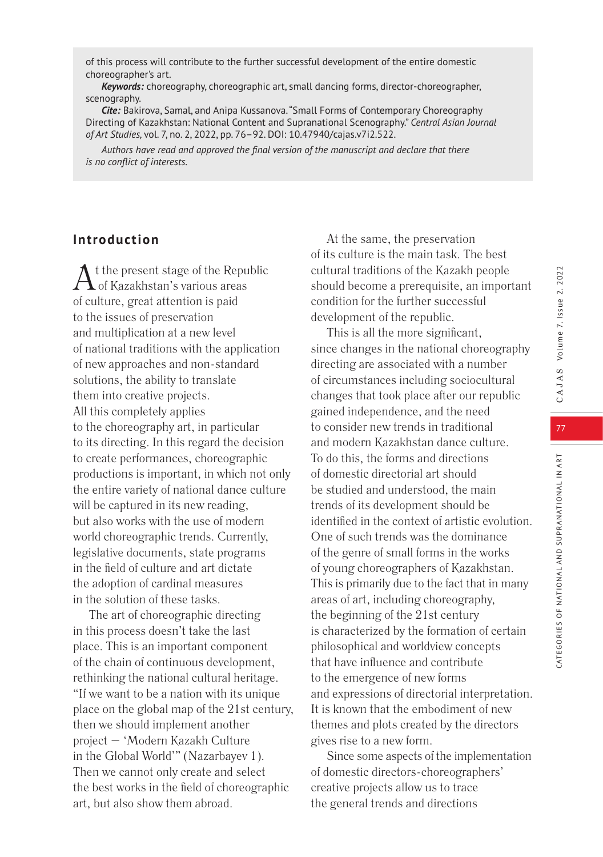CATEGORIES OF NATIONAL AND SUPRANATIONAL IN ART

CATEGORIES OF NATIONAL AND SUPRANATIONAL IN ART

of this process will contribute to the further successful development of the entire domestic choreographer's art.

*Keywords:* choreography, choreographic art, small dancing forms, director-choreographer, scenography.

*Cite:* Bakirova, Samal, and Anipa Kussanova. "Small Forms of Contemporary Choreography Directing of Kazakhstan: National Content and Supranational Scenography." *Central Asian Journal of Art Studies,* vol. 7, no. 2, 2022, pp. 76–92. DOI: 10.47940/cajas.v7i2.522.

*Authors have read and approved the final version of the manuscript and declare that there is no conflict of interests.*

# **Introduction**

 $\Lambda$  t the present stage of the Republic of Kazakhstan's various areas of culture, great attention is paid to the issues of preservation and multiplication at a new level of national traditions with the application of new approaches and non-standard solutions, the ability to translate them into creative projects. All this completely applies to the choreography art, in particular to its directing. In this regard the decision to create performances, choreographic productions is important, in which not only the entire variety of national dance culture will be captured in its new reading, but also works with the use of modern world choreographic trends. Currently, legislative documents, state programs in the field of culture and art dictate the adoption of cardinal measures in the solution of these tasks.

The art of choreographic directing in this process doesn't take the last place. This is an important component of the chain of continuous development, rethinking the national cultural heritage. "If we want to be a nation with its unique place on the global map of the 21st century, then we should implement another project – 'Modern Kazakh Culture in the Global World'" (Nazarbayev 1). Then we cannot only create and select the best works in the field of choreographic art, but also show them abroad.

At the same, the preservation of its culture is the main task. The best cultural traditions of the Kazakh people should become a prerequisite, an important condition for the further successful development of the republic.

This is all the more significant, since changes in the national choreography directing are associated with a number of circumstances including sociocultural changes that took place after our republic gained independence, and the need to consider new trends in traditional and modern Kazakhstan dance culture. To do this, the forms and directions of domestic directorial art should be studied and understood, the main trends of its development should be identified in the context of artistic evolution. One of such trends was the dominance of the genre of small forms in the works of young choreographers of Kazakhstan. This is primarily due to the fact that in many areas of art, including choreography, the beginning of the 21st century is characterized by the formation of certain philosophical and worldview concepts that have influence and contribute to the emergence of new forms and expressions of directorial interpretation. It is known that the embodiment of new themes and plots created by the directors gives rise to a new form.

Since some aspects of the implementation of domestic directors-choreographers' creative projects allow us to trace the general trends and directions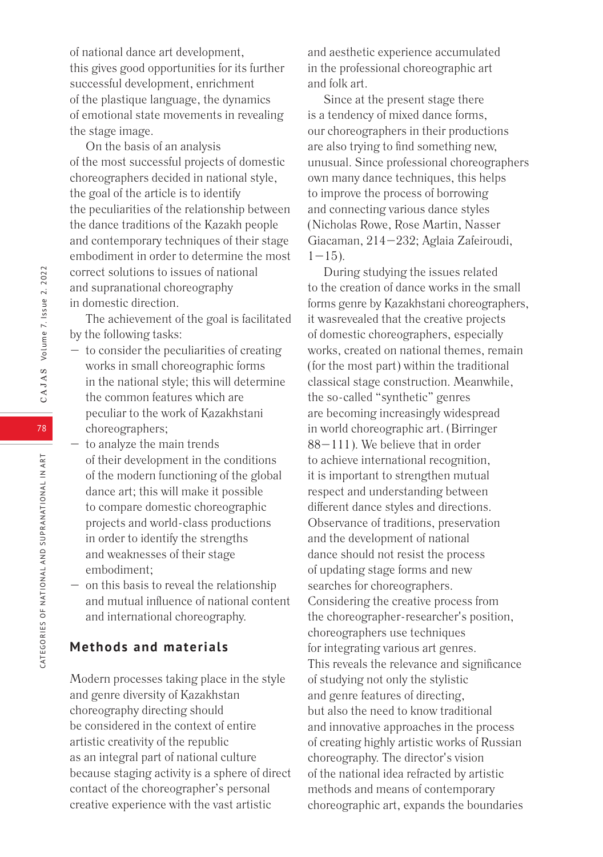of national dance art development, this gives good opportunities for its further successful development, enrichment of the plastique language, the dynamics of emotional state movements in revealing the stage image.

On the basis of an analysis of the most successful projects of domestic choreographers decided in national style, the goal of the article is to identify the peculiarities of the relationship between the dance traditions of the Kazakh people and contemporary techniques of their stage embodiment in order to determine the most correct solutions to issues of national and supranational choreography in domestic direction.

The achievement of the goal is facilitated by the following tasks:

- to consider the peculiarities of creating works in small choreographic forms in the national style; this will determine the common features which are peculiar to the work of Kazakhstani choreographers;
- to analyze the main trends of their development in the conditions of the modern functioning of the global dance art; this will make it possible to compare domestic choreographic projects and world-class productions in order to identify the strengths and weaknesses of their stage embodiment;
- on this basis to reveal the relationship and mutual influence of national content and international choreography.

# **Methods and materials**

Modern processes taking place in the style and genre diversity of Kazakhstan choreography directing should be considered in the context of entire artistic creativity of the republic as an integral part of national culture because staging activity is a sphere of direct contact of the choreographer's personal creative experience with the vast artistic

and aesthetic experience accumulated in the professional choreographic art and folk art.

Since at the present stage there is a tendency of mixed dance forms, our choreographers in their productions are also trying to find something new, unusual. Since professional choreographers own many dance techniques, this helps to improve the process of borrowing and connecting various dance styles (Nicholas Rowe, Rose Martin, Nasser Giacaman, 214–232; Aglaia Zafeiroudi,  $1-15$ ).

During studying the issues related to the creation of dance works in the small forms genre by Kazakhstani choreographers, it wasrevealed that the creative projects of domestic choreographers, especially works, created on national themes, remain (for the most part) within the traditional classical stage construction. Meanwhile, the so-called "synthetic" genres are becoming increasingly widespread in world choreographic art. (Birringer 88–111). We believe that in order to achieve international recognition, it is important to strengthen mutual respect and understanding between different dance styles and directions. Observance of traditions, preservation and the development of national dance should not resist the process of updating stage forms and new searches for choreographers. Considering the creative process from the choreographer-researcher's position, choreographers use techniques for integrating various art genres. This reveals the relevance and significance of studying not only the stylistic and genre features of directing, but also the need to know traditional and innovative approaches in the process of creating highly artistic works of Russian choreography. The director's vision of the national idea refracted by artistic methods and means of contemporary choreographic art, expands the boundaries

78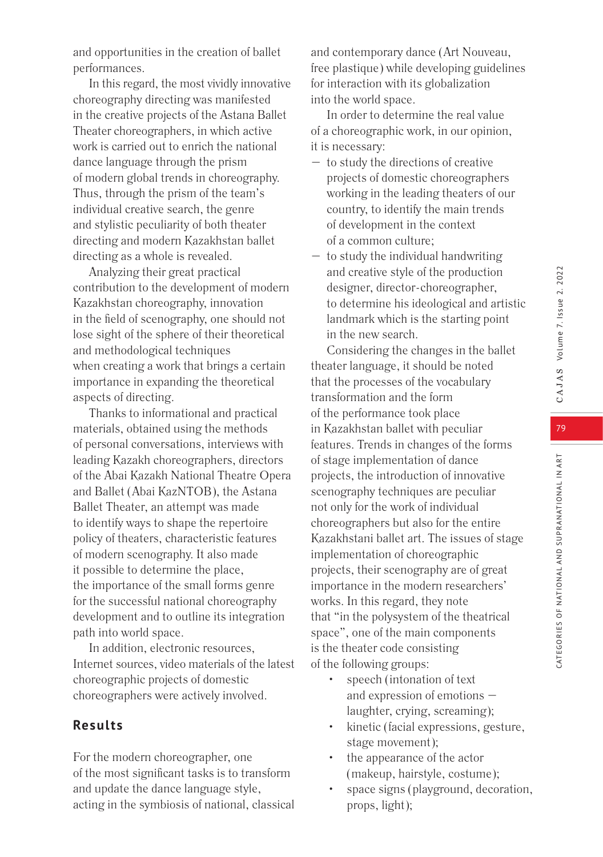79

CATEGORIES OF NATIONAL AND SUPRANATIONAL IN ART

CATEGORIES OF NATIONAL AND SUPRANATIONAL IN ART

In this regard, the most vividly innovative choreography directing was manifested in the creative projects of the Astana Ballet Theater choreographers, in which active work is carried out to enrich the national dance language through the prism of modern global trends in choreography. Thus, through the prism of the team's individual creative search, the genre and stylistic peculiarity of both theater directing and modern Kazakhstan ballet directing as a whole is revealed.

Analyzing their great practical contribution to the development of modern Kazakhstan choreography, innovation in the field of scenography, one should not lose sight of the sphere of their theoretical and methodological techniques when creating a work that brings a certain importance in expanding the theoretical aspects of directing.

Thanks to informational and practical materials, obtained using the methods of personal conversations, interviews with leading Kazakh choreographers, directors of the Abai Kazakh National Theatre Opera and Ballet (Abai KazNTOB), the Astana Ballet Theater, an attempt was made to identify ways to shape the repertoire policy of theaters, characteristic features of modern scenography. It also made it possible to determine the place, the importance of the small forms genre for the successful national choreography development and to outline its integration path into world space.

In addition, electronic resources, Internet sources, video materials of the latest choreographic projects of domestic choreographers were actively involved.

# **Results**

For the modern choreographer, one of the most significant tasks is to transform and update the dance language style, acting in the symbiosis of national, classical and contemporary dance (Art Nouveau, free plastique) while developing guidelines for interaction with its globalization into the world space.

In order to determine the real value of a choreographic work, in our opinion, it is necessary:

- to study the directions of creative projects of domestic choreographers working in the leading theaters of our country, to identify the main trends of development in the context of a common culture;
- to study the individual handwriting and creative style of the production designer, director-choreographer, to determine his ideological and artistic landmark which is the starting point in the new search.

Considering the changes in the ballet theater language, it should be noted that the processes of the vocabulary transformation and the form of the performance took place in Kazakhstan ballet with peculiar features. Trends in changes of the forms of stage implementation of dance projects, the introduction of innovative scenography techniques are peculiar not only for the work of individual choreographers but also for the entire Kazakhstani ballet art. The issues of stage implementation of choreographic projects, their scenography are of great importance in the modern researchers' works. In this regard, they note that "in the polysystem of the theatrical space", one of the main components is the theater code consisting of the following groups:

- speech (intonation of text and expression of emotions – laughter, crying, screaming);
- kinetic (facial expressions, gesture, stage movement);
- the appearance of the actor (makeup, hairstyle, costume);
- space signs (playground, decoration, props, light);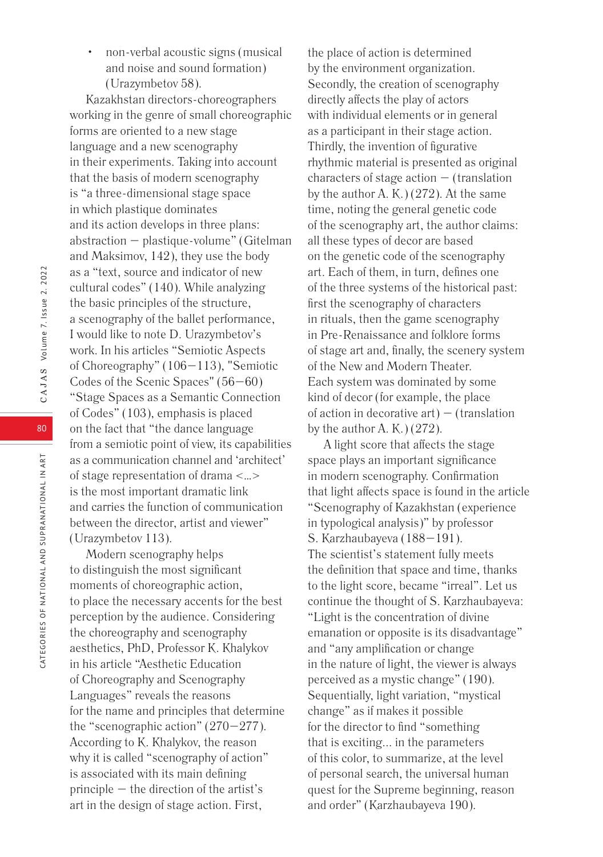• non-verbal acoustic signs (musical and noise and sound formation) (Urazymbetov 58).

Kazakhstan directors-choreographers working in the genre of small choreographic forms are oriented to a new stage language and a new scenography in their experiments. Taking into account that the basis of modern scenography is "a three-dimensional stage space in which plastique dominates and its action develops in three plans: abstraction – plastique-volume" (Gitelman and Maksimov, 142), they use the body as a "text, source and indicator of new cultural codes" (140). While analyzing the basic principles of the structure, a scenography of the ballet performance, I would like to note D. Urazymbetov's work. In his articles "Semiotic Aspects of Choreography" (106–113), "Semiotic Codes of the Scenic Spaces" (56–60) "Stage Spaces as a Semantic Connection of Codes" (103), emphasis is placed on the fact that "the dance language from a semiotic point of view, its capabilities as a communication channel and 'architect' of stage representation of drama <…> is the most important dramatic link and carries the function of communication between the director, artist and viewer" (Urazymbetov 113).

Modern scenography helps to distinguish the most significant moments of choreographic action, to place the necessary accents for the best perception by the audience. Considering the choreography and scenography aesthetics, PhD, Professor K. Khalykov in his article "Aesthetic Education of Choreography and Scenography Languages" reveals the reasons for the name and principles that determine the "scenographic action"  $(270-277)$ . According to K. Khalykov, the reason why it is called "scenography of action" is associated with its main defining principle – the direction of the artist's art in the design of stage action. First,

the place of action is determined by the environment organization. Secondly, the creation of scenography directly affects the play of actors with individual elements or in general as a participant in their stage action. Thirdly, the invention of figurative rhythmic material is presented as original characters of stage action – (translation by the author A. K.) (272). At the same time, noting the general genetic code of the scenography art, the author claims: all these types of decor are based on the genetic code of the scenography art. Each of them, in turn, defines one of the three systems of the historical past: first the scenography of characters in rituals, then the game scenography in Pre-Renaissance and folklore forms of stage art and, finally, the scenery system of the New and Modern Theater. Each system was dominated by some kind of decor (for example, the place of action in decorative  $art$ ) – (translation by the author A. K.)  $(272)$ .

A light score that affects the stage space plays an important significance in modern scenography. Confirmation that light affects space is found in the article "Scenography of Kazakhstan (experience in typological analysis)" by professor S. Karzhaubayeva (188–191). The scientist's statement fully meets the definition that space and time, thanks to the light score, became "irreal". Let us continue the thought of S. Karzhaubayeva: "Light is the concentration of divine emanation or opposite is its disadvantage" and "any amplification or change in the nature of light, the viewer is always perceived as a mystic change" (190). Sequentially, light variation, "mystical change" as if makes it possible for the director to find "something that is exciting... in the parameters of this color, to summarize, at the level of personal search, the universal human quest for the Supreme beginning, reason and order" (Karzhaubayeva 190).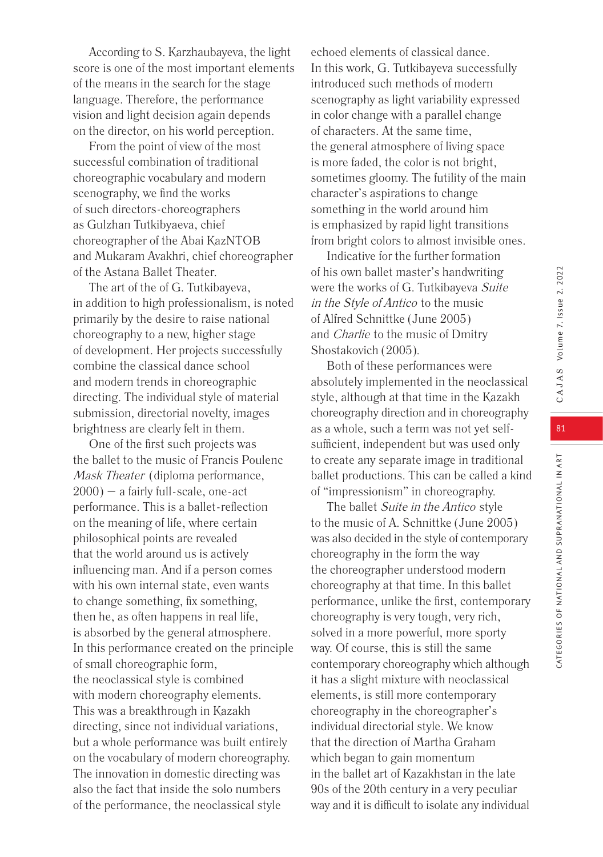According to S. Karzhaubayeva, the light score is one of the most important elements of the means in the search for the stage language. Therefore, the performance vision and light decision again depends on the director, on his world perception.

From the point of view of the most successful combination of traditional choreographic vocabulary and modern scenography, we find the works of such directors-choreographers as Gulzhan Tutkibyaeva, chief choreographer of the Abai KazNTOB and Mukaram Avakhri, chief choreographer of the Astana Ballet Theater.

The art of the of G. Tutkibayeva, in addition to high professionalism, is noted primarily by the desire to raise national choreography to a new, higher stage of development. Her projects successfully combine the classical dance school and modern trends in choreographic directing. The individual style of material submission, directorial novelty, images brightness are clearly felt in them.

One of the first such projects was the ballet to the music of Francis Poulenc Mask Theater (diploma performance,  $2000$ ) – a fairly full-scale, one-act performance. This is a ballet-reflection on the meaning of life, where certain philosophical points are revealed that the world around us is actively influencing man. And if a person comes with his own internal state, even wants to change something, fix something, then he, as often happens in real life, is absorbed by the general atmosphere. In this performance created on the principle of small choreographic form, the neoclassical style is combined with modern choreography elements. This was a breakthrough in Kazakh directing, since not individual variations, but a whole performance was built entirely on the vocabulary of modern choreography. The innovation in domestic directing was also the fact that inside the solo numbers of the performance, the neoclassical style

echoed elements of classical dance. In this work, G. Tutkibayeva successfully introduced such methods of modern scenography as light variability expressed in color change with a parallel change of characters. At the same time, the general atmosphere of living space is more faded, the color is not bright, sometimes gloomy. The futility of the main character's aspirations to change something in the world around him is emphasized by rapid light transitions from bright colors to almost invisible ones.

Indicative for the further formation of his own ballet master's handwriting were the works of G. Tutkibayeva Suite in the Style of Antico to the music of Alfred Schnittke (June 2005) and Charlie to the music of Dmitry Shostakovich (2005).

Both of these performances were absolutely implemented in the neoclassical style, although at that time in the Kazakh choreography direction and in choreography as a whole, such a term was not yet selfsufficient, independent but was used only to create any separate image in traditional ballet productions. This can be called a kind of "impressionism" in choreography.

The ballet Suite in the Antico style to the music of A. Schnittke (June 2005) was also decided in the style of contemporary choreography in the form the way the choreographer understood modern choreography at that time. In this ballet performance, unlike the first, contemporary choreography is very tough, very rich, solved in a more powerful, more sporty way. Of course, this is still the same contemporary choreography which although it has a slight mixture with neoclassical elements, is still more contemporary choreography in the choreographer's individual directorial style. We know that the direction of Martha Graham which began to gain momentum in the ballet art of Kazakhstan in the late 90s of the 20th century in a very peculiar way and it is difficult to isolate any individual

CATEGORIES OF NATIONAL AND SUPRANATIONAL IN ART

CATEGORIES OF NATIONAL AND SUPRANATIONAL IN ART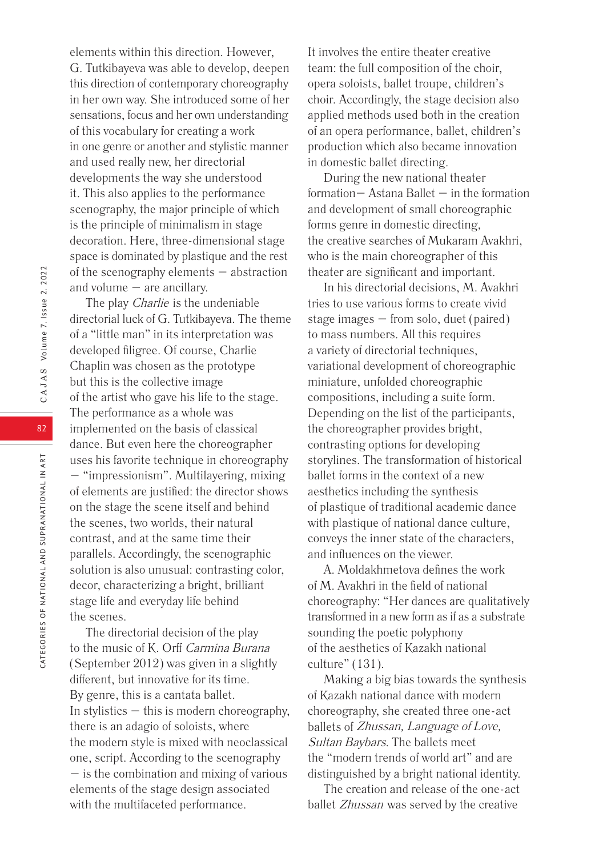elements within this direction. However, G. Tutkibayeva was able to develop, deepen this direction of contemporary choreography in her own way. She introduced some of her sensations, focus and her own understanding of this vocabulary for creating a work in one genre or another and stylistic manner and used really new, her directorial developments the way she understood it. This also applies to the performance scenography, the major principle of which is the principle of minimalism in stage decoration. Here, three-dimensional stage space is dominated by plastique and the rest of the scenography elements – abstraction and volume – are ancillary.

The play *Charlie* is the undeniable directorial luck of G. Tutkibayeva. The theme of a "little man" in its interpretation was developed filigree. Of course, Charlie Chaplin was chosen as the prototype but this is the collective image of the artist who gave his life to the stage. The performance as a whole was implemented on the basis of classical dance. But even here the choreographer uses his favorite technique in choreography – "impressionism". Multilayering, mixing of elements are justified: the director shows on the stage the scene itself and behind the scenes, two worlds, their natural contrast, and at the same time their parallels. Accordingly, the scenographic solution is also unusual: contrasting color, decor, characterizing a bright, brilliant stage life and everyday life behind the scenes.

The directorial decision of the play to the music of K. Orff Carmina Burana (September 2012) was given in a slightly different, but innovative for its time. By genre, this is a cantata ballet. In stylistics – this is modern choreography, there is an adagio of soloists, where the modern style is mixed with neoclassical one, script. According to the scenography – is the combination and mixing of various elements of the stage design associated with the multifaceted performance.

It involves the entire theater creative team: the full composition of the choir, opera soloists, ballet troupe, children's choir. Accordingly, the stage decision also applied methods used both in the creation of an opera performance, ballet, children's production which also became innovation in domestic ballet directing.

During the new national theater formation  $-$  Astana Ballet  $-$  in the formation and development of small choreographic forms genre in domestic directing, the creative searches of Mukaram Avakhri, who is the main choreographer of this theater are significant and important.

In his directorial decisions, M. Avakhri tries to use various forms to create vivid stage images – from solo, duet (paired) to mass numbers. All this requires a variety of directorial techniques, variational development of choreographic miniature, unfolded choreographic compositions, including a suite form. Depending on the list of the participants, the choreographer provides bright, contrasting options for developing storylines. The transformation of historical ballet forms in the context of a new aesthetics including the synthesis of plastique of traditional academic dance with plastique of national dance culture, conveys the inner state of the characters, and influences on the viewer.

A. Moldakhmetova defines the work of M. Avakhri in the field of national choreography: "Her dances are qualitatively transformed in a new form as if as a substrate sounding the poetic polyphony of the aesthetics of Kazakh national culture" (131).

Making a big bias towards the synthesis of Kazakh national dance with modern choreography, she created three one-act ballets of Zhussan, Language of Love, Sultan Baybars. The ballets meet the "modern trends of world art" and are distinguished by a bright national identity.

The creation and release of the one-act ballet Zhussan was served by the creative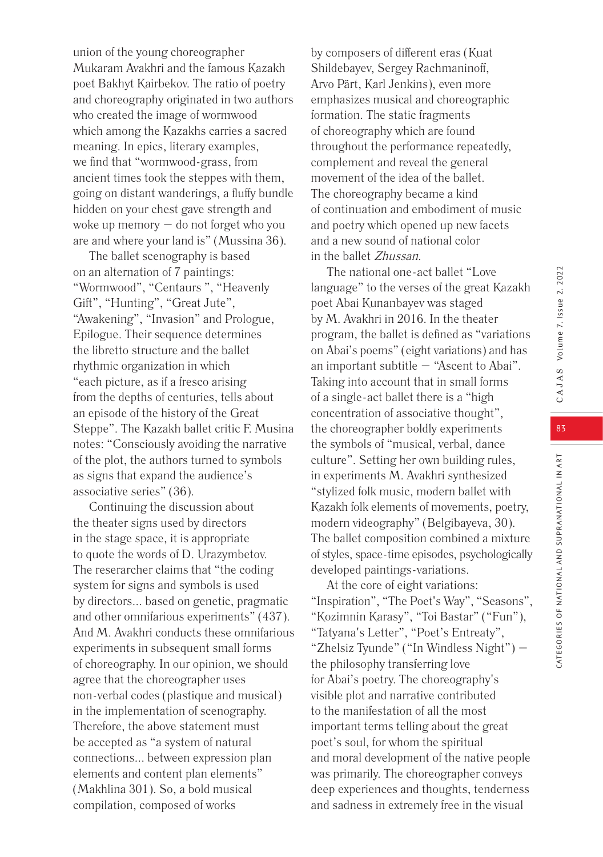union of the young choreographer Mukaram Avakhri and the famous Kazakh poet Bakhyt Kairbekov. The ratio of poetry and choreography originated in two authors who created the image of wormwood which among the Kazakhs carries a sacred meaning. In epics, literary examples, we find that "wormwood-grass, from ancient times took the steppes with them, going on distant wanderings, a fluffy bundle hidden on your chest gave strength and woke up memory – do not forget who you are and where your land is" (Mussina 36).

The ballet scenography is based on an alternation of 7 paintings: "Wormwood", "Centaurs ", "Heavenly Gift", "Hunting", "Great Jute", "Awakening", "Invasion" and Prologue, Epilogue. Their sequence determines the libretto structure and the ballet rhythmic organization in which "each picture, as if a fresco arising from the depths of centuries, tells about an episode of the history of the Great Steppe". The Kazakh ballet critic F. Musina notes: "Consciously avoiding the narrative of the plot, the authors turned to symbols as signs that expand the audience's associative series" (36).

Continuing the discussion about the theater signs used by directors in the stage space, it is appropriate to quote the words of D. Urazymbetov. The reserarcher claims that "the coding system for signs and symbols is used by directors... based on genetic, pragmatic and other omnifarious experiments" (437). And M. Avakhri conducts these omnifarious experiments in subsequent small forms of choreography. In our opinion, we should agree that the choreographer uses non-verbal codes (plastique and musical) in the implementation of scenography. Therefore, the above statement must be accepted as "a system of natural connections... between expression plan elements and content plan elements" (Makhlina 301). So, a bold musical compilation, composed of works

by composers of different eras (Kuat Shildebayev, Sergey Rachmaninoff, Arvo Pärt, Karl Jenkins), even more emphasizes musical and choreographic formation. The static fragments of choreography which are found throughout the performance repeatedly, complement and reveal the general movement of the idea of the ballet. The choreography became a kind of continuation and embodiment of music and poetry which opened up new facets and a new sound of national color in the ballet Zhussan.

The national one-act ballet "Love language" to the verses of the great Kazakh poet Abai Kunanbayev was staged by M. Avakhri in 2016. In the theater program, the ballet is defined as "variations on Abai's poems" (eight variations) and has an important subtitle – "Ascent to Abai". Taking into account that in small forms of a single-act ballet there is a "high concentration of associative thought", the choreographer boldly experiments the symbols of "musical, verbal, dance culture". Setting her own building rules, in experiments M. Avakhri synthesized "stylized folk music, modern ballet with Kazakh folk elements of movements, poetry, modern videography" (Belgibayeva, 30). The ballet composition combined a mixture of styles, space-time episodes, psychologically developed paintings-variations.

At the core of eight variations: "Inspiration", "The Poet's Way", "Seasons", "Kozimnin Karasy", "Toi Bastar" ("Fun"), "Tatyana's Letter", "Poet's Entreaty", "Zhelsiz Tyunde" ("In Windless Night") – the philosophy transferring love for Abai's poetry. The choreography's visible plot and narrative contributed to the manifestation of all the most important terms telling about the great poet's soul, for whom the spiritual and moral development of the native people was primarily. The choreographer conveys deep experiences and thoughts, tenderness and sadness in extremely free in the visual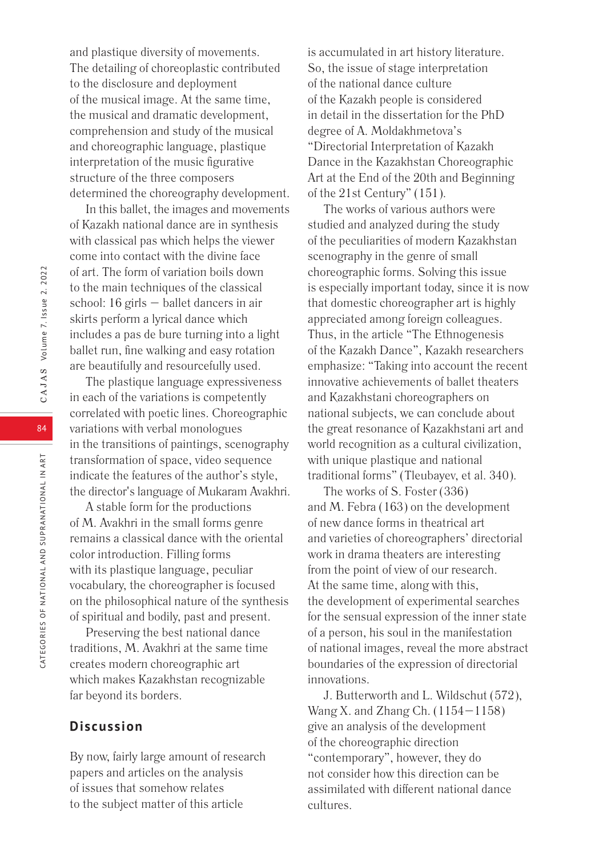and plastique diversity of movements. The detailing of choreoplastic contributed to the disclosure and deployment of the musical image. At the same time, the musical and dramatic development, comprehension and study of the musical and choreographic language, plastique interpretation of the music figurative structure of the three composers determined the choreography development.

In this ballet, the images and movements of Kazakh national dance are in synthesis with classical pas which helps the viewer come into contact with the divine face of art. The form of variation boils down to the main techniques of the classical school: 16 girls – ballet dancers in air skirts perform a lyrical dance which includes a pas de bure turning into a light ballet run, fine walking and easy rotation are beautifully and resourcefully used.

The plastique language expressiveness in each of the variations is competently correlated with poetic lines. Choreographic variations with verbal monologues in the transitions of paintings, scenography transformation of space, video sequence indicate the features of the author's style, the director's language of Mukaram Avakhri.

A stable form for the productions of M. Avakhri in the small forms genre remains a classical dance with the oriental color introduction. Filling forms with its plastique language, peculiar vocabulary, the choreographer is focused on the philosophical nature of the synthesis of spiritual and bodily, past and present.

Preserving the best national dance traditions, M. Avakhri at the same time creates modern choreographic art which makes Kazakhstan recognizable far beyond its borders.

# **Discussion**

By now, fairly large amount of research papers and articles on the analysis of issues that somehow relates to the subject matter of this article

is accumulated in art history literature. So, the issue of stage interpretation of the national dance culture of the Kazakh people is considered in detail in the dissertation for the PhD degree of A. Moldakhmetova's "Directorial Interpretation of Kazakh Dance in the Kazakhstan Choreographic Art at the End of the 20th and Beginning of the 21st Century" (151).

The works of various authors were studied and analyzed during the study of the peculiarities of modern Kazakhstan scenography in the genre of small choreographic forms. Solving this issue is especially important today, since it is now that domestic choreographer art is highly appreciated among foreign colleagues. Thus, in the article "The Ethnogenesis of the Kazakh Dance", Kazakh researchers emphasize: "Taking into account the recent innovative achievements of ballet theaters and Kazakhstani choreographers on national subjects, we can conclude about the great resonance of Kazakhstani art and world recognition as a cultural civilization, with unique plastique and national traditional forms" (Tleubayev, et al. 340).

The works of S. Foster (336) and M. Febra (163) on the development of new dance forms in theatrical art and varieties of choreographers' directorial work in drama theaters are interesting from the point of view of our research. At the same time, along with this, the development of experimental searches for the sensual expression of the inner state of a person, his soul in the manifestation of national images, reveal the more abstract boundaries of the expression of directorial innovations.

J. Butterworth and L. Wildschut (572), Wang X. and Zhang Ch. (1154–1158) give an analysis of the development of the choreographic direction "contemporary", however, they do not consider how this direction can be assimilated with different national dance cultures.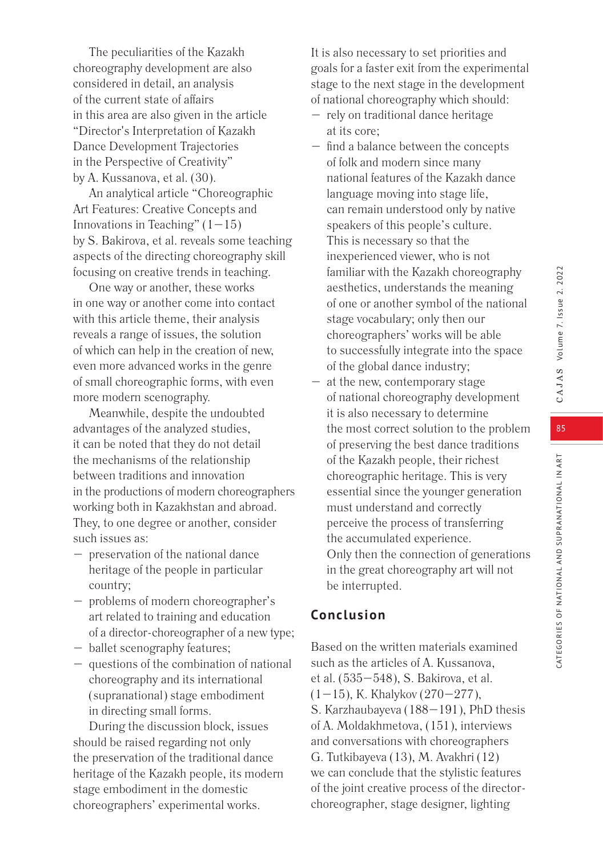The peculiarities of the Kazakh choreography development are also considered in detail, an analysis of the current state of affairs in this area are also given in the article "Director's Interpretation of Kazakh Dance Development Trajectories in the Perspective of Creativity" by A. Kussanova, et al. (30).

An analytical article "Choreographic Art Features: Creative Concepts and Innovations in Teaching"  $(1-15)$ by S. Bakirova, et al. reveals some teaching aspects of the directing choreography skill focusing on creative trends in teaching.

One way or another, these works in one way or another come into contact with this article theme, their analysis reveals a range of issues, the solution of which can help in the creation of new, even more advanced works in the genre of small choreographic forms, with even more modern scenography.

Meanwhile, despite the undoubted advantages of the analyzed studies, it can be noted that they do not detail the mechanisms of the relationship between traditions and innovation in the productions of modern choreographers working both in Kazakhstan and abroad. They, to one degree or another, consider such issues as:

- preservation of the national dance heritage of the people in particular country;
- problems of modern choreographer's art related to training and education of a director-choreographer of a new type;
- ballet scenography features;
- questions of the combination of national choreography and its international (supranational) stage embodiment in directing small forms.

During the discussion block, issues should be raised regarding not only the preservation of the traditional dance heritage of the Kazakh people, its modern stage embodiment in the domestic choreographers' experimental works.

It is also necessary to set priorities and goals for a faster exit from the experimental stage to the next stage in the development of national choreography which should:

- rely on traditional dance heritage at its core;
- find a balance between the concepts of folk and modern since many national features of the Kazakh dance language moving into stage life, can remain understood only by native speakers of this people's culture. This is necessary so that the inexperienced viewer, who is not familiar with the Kazakh choreography aesthetics, understands the meaning of one or another symbol of the national stage vocabulary; only then our choreographers' works will be able to successfully integrate into the space of the global dance industry;
- at the new, contemporary stage of national choreography development it is also necessary to determine the most correct solution to the problem of preserving the best dance traditions of the Kazakh people, their richest choreographic heritage. This is very essential since the younger generation must understand and correctly perceive the process of transferring the accumulated experience. Only then the connection of generations in the great choreography art will not be interrupted.

# **Conclusion**

Based on the written materials examined such as the articles of A. Kussanova, et al. (535–548), S. Bakirova, et al.  $(1-15)$ , K. Khalykov  $(270-277)$ , S. Karzhaubayeva (188–191), PhD thesis of A. Moldakhmetova, (151), interviews and conversations with choreographers G. Tutkibayeva (13), M. Avakhri (12) we can conclude that the stylistic features of the joint creative process of the directorchoreographer, stage designer, lighting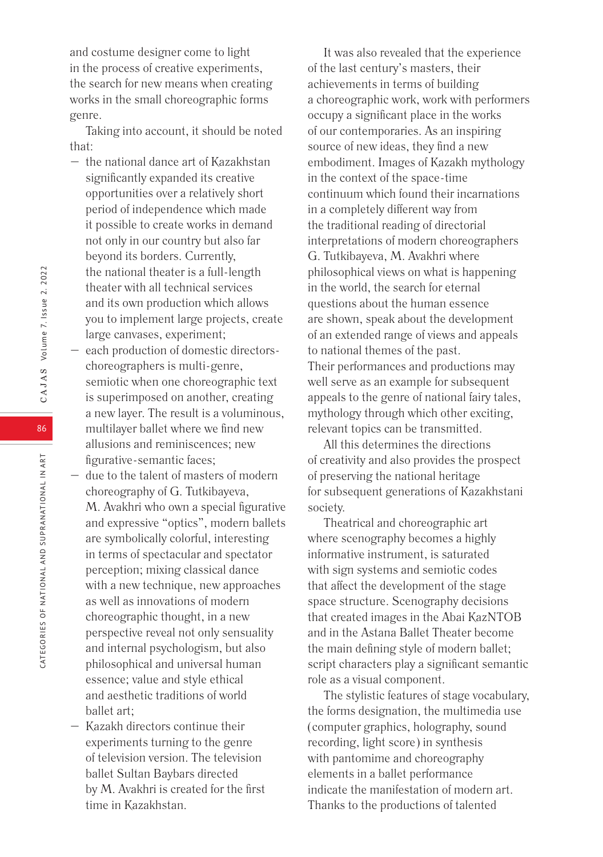Taking into account, it should be noted that:

- the national dance art of Kazakhstan significantly expanded its creative opportunities over a relatively short period of independence which made it possible to create works in demand not only in our country but also far beyond its borders. Currently, the national theater is a full-length theater with all technical services and its own production which allows you to implement large projects, create large canvases, experiment;
- each production of domestic directorschoreographers is multi-genre, semiotic when one choreographic text is superimposed on another, creating a new layer. The result is a voluminous, multilayer ballet where we find new allusions and reminiscences; new figurative-semantic faces;
- due to the talent of masters of modern choreography of G. Tutkibayeva, M. Avakhri who own a special figurative and expressive "optics", modern ballets are symbolically colorful, interesting in terms of spectacular and spectator perception; mixing classical dance with a new technique, new approaches as well as innovations of modern choreographic thought, in a new perspective reveal not only sensuality and internal psychologism, but also philosophical and universal human essence; value and style ethical and aesthetic traditions of world ballet art;
- Kazakh directors continue their experiments turning to the genre of television version. The television ballet Sultan Baybars directed by M. Avakhri is created for the first time in Kazakhstan.

It was also revealed that the experience of the last century's masters, their achievements in terms of building a choreographic work, work with performers occupy a significant place in the works of our contemporaries. As an inspiring source of new ideas, they find a new embodiment. Images of Kazakh mythology in the context of the space-time continuum which found their incarnations in a completely different way from the traditional reading of directorial interpretations of modern choreographers G. Tutkibayeva, M. Avakhri where philosophical views on what is happening in the world, the search for eternal questions about the human essence are shown, speak about the development of an extended range of views and appeals to national themes of the past. Their performances and productions may well serve as an example for subsequent appeals to the genre of national fairy tales, mythology through which other exciting, relevant topics can be transmitted.

All this determines the directions of creativity and also provides the prospect of preserving the national heritage for subsequent generations of Kazakhstani society.

Theatrical and choreographic art where scenography becomes a highly informative instrument, is saturated with sign systems and semiotic codes that affect the development of the stage space structure. Scenography decisions that created images in the Abai KazNTOB and in the Astana Ballet Theater become the main defining style of modern ballet; script characters play a significant semantic role as a visual component.

The stylistic features of stage vocabulary, the forms designation, the multimedia use (computer graphics, holography, sound recording, light score) in synthesis with pantomime and choreography elements in a ballet performance indicate the manifestation of modern art. Thanks to the productions of talented

86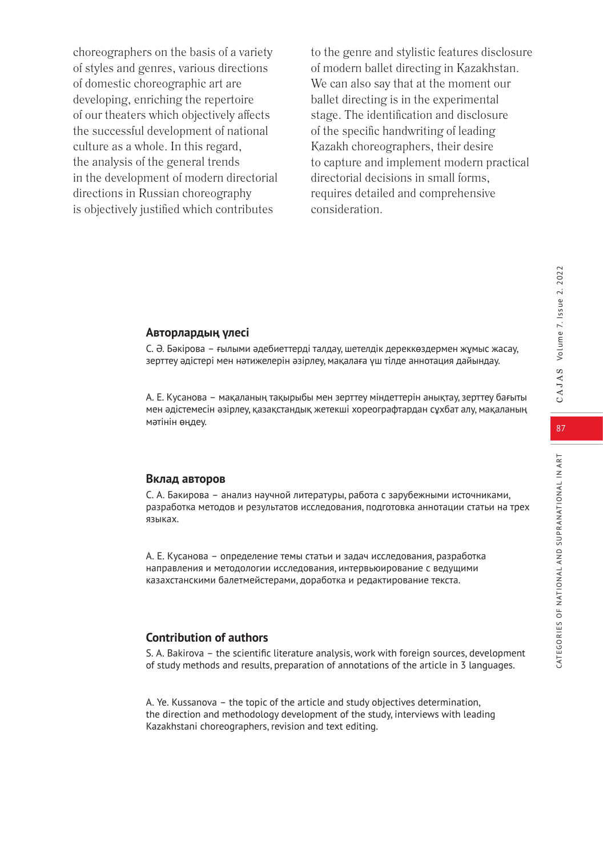choreographers on the basis of a variety of styles and genres, various directions of domestic choreographic art are developing, enriching the repertoire of our theaters which objectively affects the successful development of national culture as a whole. In this regard, the analysis of the general trends in the development of modern directorial directions in Russian choreography is objectively justified which contributes

to the genre and stylistic features disclosure of modern ballet directing in Kazakhstan. We can also say that at the moment our ballet directing is in the experimental stage. The identification and disclosure of the specific handwriting of leading Kazakh choreographers, their desire to capture and implement modern practical directorial decisions in small forms, requires detailed and comprehensive consideration.

#### **Авторлардың үлесі**

С. Ә. Бәкірова – ғылыми әдебиеттерді талдау, шетелдік дереккөздермен жұмыс жасау, зерттеу әдістері мен нәтижелерін әзірлеу, мақалаға үш тілде аннотация дайындау.

А. Е. Кусанова – мақаланың тақырыбы мен зерттеу міндеттерін анықтау, зерттеу бағыты мен әдістемесін әзірлеу, қазақстандық жетекші хореографтардан сұхбат алу, мақаланың мәтінін өңдеу.

#### **Вклад авторов**

С. А. Бакирова – анализ научной литературы, работа с зарубежными источниками, разработка методов и результатов исследования, подготовка аннотации статьи на трех языках.

А. Е. Кусанова – определение темы статьи и задач исследования, разработка направления и методологии исследования, интервьюирование с ведущими казахстанскими балетмейстерами, доработка и редактирование текста.

# **Contribution of authors**

S. A. Bakirova – the scientific literature analysis, work with foreign sources, development of study methods and results, preparation of annotations of the article in 3 languages.

A. Ye. Kussanova – the topic of the article and study objectives determination, the direction and methodology development of the study, interviews with leading Kazakhstani choreographers, revision and text editing.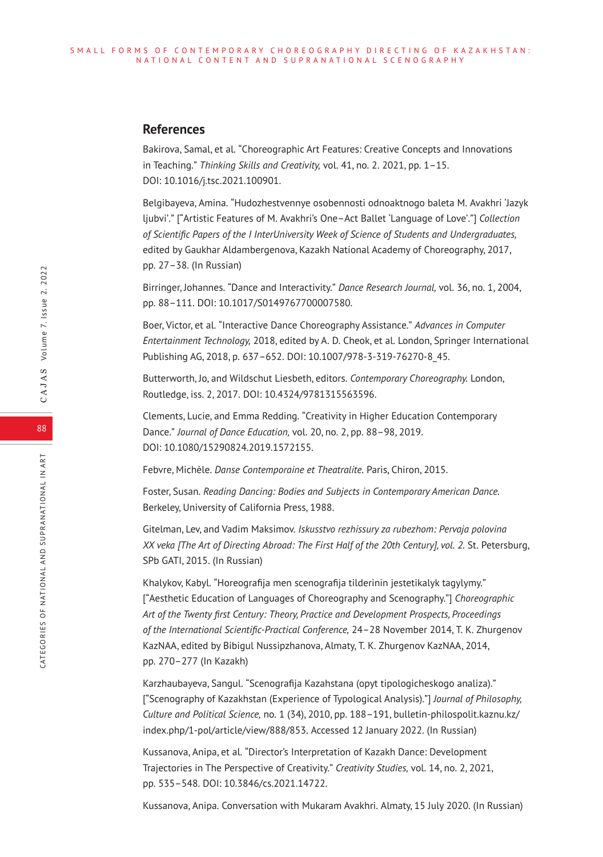### **References**

Bakirova, Samal, et al. "Choreographic Art Features: Creative Concepts and Innovations in Teaching." *Thinking Skills and Creativity,* vol. 41, no. 2. 2021, pp. 1–15. DOI: 10.1016/j.tsc.2021.100901.

Belgibayeva, Amina. "Hudozhestvennye osobennosti odnoaktnogo baleta M. Avakhri 'Jazyk ljubvi'." ["Artistic Features of M. Avakhri's One–Act Ballet 'Language of Love'."] *Collection of Scientific Papers of the I InterUniversity Week of Science of Students and Undergraduates,* edited by Gaukhar Aldambergenovа, Kazakh National Academy of Choreography, 2017, рp. 27–38. (In Russian)

Birringer, Johannes. "Dance and Interactivity." *Dance Research Journal,* vol. 36, no. 1, 2004, pp. 88–111. DOI: 10.1017/S0149767700007580.

Boer, Victor, et al. "Interactive Dance Choreography Assistance." *Advances in Computer Entertainment Technology,* 2018, edited by A. D. Cheok, et al. London, Springer International Publishing AG, 2018, p. 637–652. DOI: 10.1007/978-3-319-76270-8\_45.

Butterworth, Jo, and Wildschut Liesbeth, editors. *Contemporary Choreography.* London, Routledge, iss. 2, 2017. DOI: 10.4324/9781315563596.

Clements, Lucie, and Emma Redding. "Creativity in Higher Education Contemporary Dance." *Journal of Dance Education,* vol. 20, no. 2, pp. 88–98, 2019. DOI: 10.1080/15290824.2019.1572155.

Febvre, Michèle. *Danse Contemporaine et Theatralite.* Paris, Chiron, 2015.

Foster, Susan. *Reading Dancing: Bodies and Subjects in Contemporary American Dance.* Berkeley, University of California Press, 1988.

Gitelman, Lev, and Vadim Maksimov. *Iskusstvo rezhissury za rubezhom: Pervaja polovina ХХ veka [The Art of Directing Abroad: The First Half of the 20th Century], vol. 2.* St. Petersburg, SPb GATI, 2015. (In Russian)

Khalykov, Kabyl. "Horeografija men scenografija tіlderіnіn jestetikalyk tagylymy." ["Aesthetic Education of Languages of Choreography and Scenography."] *Choreographic Art of the Twenty first Century: Theory, Practice and Development Prospects, Proceedings of the International Scientific-Practical Conference,* 24–28 November 2014, T. K. Zhurgenov KazNAA, edited by Bibigul Nussipzhanova, Almaty, T. K. Zhurgenov KazNAA, 2014, pp. 270–277 (In Kazakh)

Karzhaubayeva, Sangul. "Scenografija Kazahstana (opyt tipologicheskogo analiza)." ["Scenography of Kazakhstan (Experience of Typological Analysis)."] *Journal of Philosophy, Culture and Political Science,* no. 1 (34), 2010, pp. 188–191, bulletin-philospolit.kaznu.kz/ index.php/1-pol/article/view/888/853. Accessed 12 January 2022. (In Russian)

Kussanova, Anipa, et al. "Director's Interpretation of Kazakh Dance: Development Trajectories in The Perspective of Creativity." *Creativity Studies,* vol. 14, no. 2, 2021, pp. 535–548. DOI: 10.3846/cs.2021.14722.

Kussanova, Anipa. Conversation with Mukaram Avakhri. Almaty, 15 July 2020. (In Russian)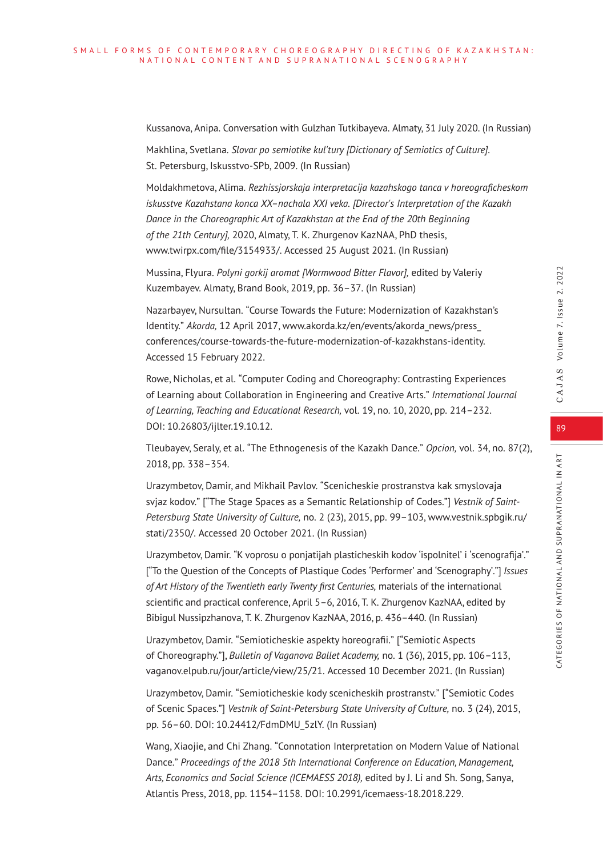Kussanova, Anipa. Conversation with Gulzhan Tutkibayeva. Almaty, 31 July 2020. (In Russian)

Makhlina, Svetlana. *Slovar po semiotike kul'tury [Dictionary of Semiotics of Culture].* St. Petersburg, Iskusstvo-SPb, 2009. (In Russian)

Moldakhmetova, Alima. *Rezhissjorskaja interpretacija kazahskogo tanca v horeograficheskom iskusstve Kazahstana konca ХХ–nachala ХХI veka. [Director's Interpretation of the Kazakh Dance in the Choreographic Art of Kazakhstan at the End of the 20th Beginning of the 21th Century],* 2020, Almaty, T. K. Zhurgenov KazNAA, PhD thesis, www.twirpx.com/file/3154933/. Accessed 25 August 2021. (In Russian)

Mussina, Flyura. *Polyni gorkij aromat [Wormwood Bitter Flavor],* edited by Valeriy Kuzembayev. Almaty, Brand Book, 2019, рр. 36–37. (In Russian)

Nazarbayev, Nursultan. "Course Towards the Future: Modernization of Kazakhstan's Identity." *Akorda,* 12 April 2017, www.akorda.kz/en/events/akorda\_news/press\_ conferences/course-towards-the-future-modernization-of-kazakhstans-identity. Accessed 15 February 2022.

Rowe, Nicholas, et al. "Computer Coding and Choreography: Contrasting Experiences of Learning about Collaboration in Engineering and Creative Arts." *International Journal of Learning, Teaching and Educational Research,* vol. 19, no. 10, 2020, pp. 214–232. DOI: 10.26803/ijlter.19.10.12.

Tleubayev, Seraly, et al. "The Ethnogenesis of the Kazakh Dance." *Opcion,* vol. 34, no. 87(2), 2018, pp. 338–354.

Urazymbetov, Damir, and Mikhail Pavlov. "Scenicheskie prostranstva kak smyslovaja svjaz kodov." ["The Stage Spaces as a Semantic Relationship of Codes."] *Vestnik of Saint-Petersburg State University of Culture,* no. 2 (23), 2015, pp. 99–103, www.vestnik.spbgik.ru/ stati/2350/. Accessed 20 October 2021. (In Russian)

Urazymbetov, Damir. "K voprosu o ponjatijah plasticheskih kodov 'ispolnitel' i 'scenografija'." ["To the Question of the Concepts of Plastique Codes 'Performer' and 'Scenography'."] *Issues of Art History of the Twentieth early Twenty first Centuries,* materials of the international scientific and practical conference, April 5–6, 2016, T. K. Zhurgenov KazNAA, edited by Bibigul Nussipzhanova, T. K. Zhurgenov KazNAA, 2016, р. 436–440. (In Russian)

Urazymbetov, Damir. "Semioticheskie aspekty horeografii." ["Semiotic Aspects of Choreography."], *Bulletin of Vaganova Ballet Academy,* no. 1 (36), 2015, pp. 106–113, vaganov.elpub.ru/jour/article/view/25/21. Accessed 10 December 2021. (In Russian)

Urazymbetov, Damir. "Semioticheskie kody scenicheskih prostranstv." ["Semiotic Codes of Scenic Spaces."] *Vestnik of Saint-Petersburg State University of Culture,* no. 3 (24), 2015, pp. 56–60. DOI: 10.24412/FdmDMU\_5zlY. (In Russian)

Wang, Xiaojie, and Chi Zhang. "Connotation Interpretation on Modern Value of National Dance." *Proceedings of the 2018 5th International Conference on Education, Management, Arts, Economics and Social Science (ICEMAESS 2018),* edited by J. Li and Sh. Song, Sanya, Atlantis Press, 2018, pp. 1154–1158. DOI: 10.2991/icemaess-18.2018.229.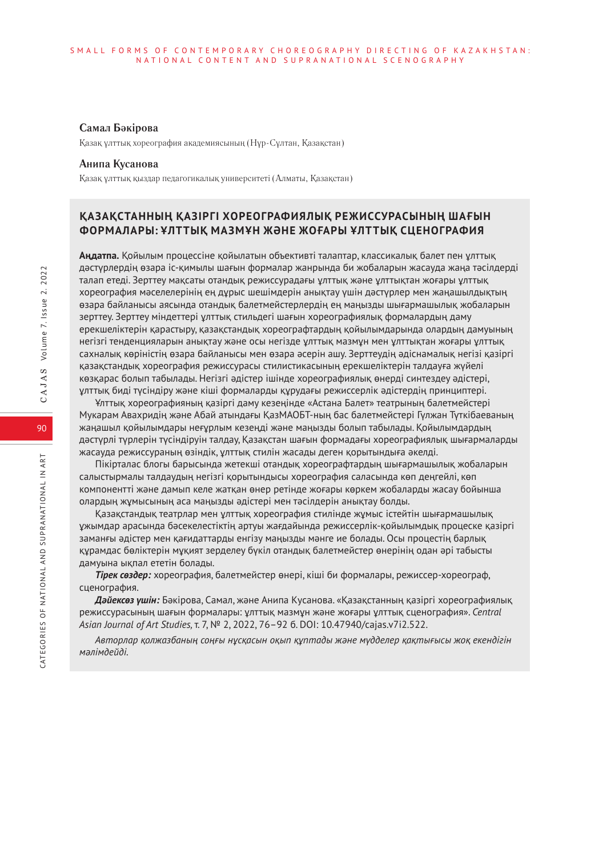#### **Самал Бәкірова**

Қазақ ұлттық хореография академиясының (Нұр-Сұлтан, Қазақстан)

#### **Анипа Кусанова**

Қазақ ұлттық қыздар педагогикалық университеті (Алматы, Қазақстан)

# **ҚАЗАҚСТАННЫҢ ҚАЗІРГІ ХОРЕОГРАФИЯЛЫҚ РЕЖИССУРАСЫНЫҢ ШАҒЫН ФОРМАЛАРЫ: ҰЛТТЫҚ МАЗМҰН ЖӘНЕ ЖОҒАРЫ ҰЛТТЫҚ СЦЕНОГРАФИЯ**

**Аңдатпа.** Қойылым процессіне қойылатын объективті талаптар, классикалық балет пен ұлттық дәстүрлердің өзара іс-қимылы шағын формалар жанрында би жобаларын жасауда жаңа тәсілдерді талап етеді. Зерттеу мақсаты отандық режиссурадағы ұлттық және ұлттықтан жоғары ұлттық хореография мәселелерінің ең дұрыс шешімдерін анықтау үшін дәстүрлер мен жаңашылдықтың өзара байланысы аясында отандық балетмейстерлердің ең маңызды шығармашылық жобаларын зерттеу. Зерттеу міндеттері ұлттық стильдегі шағын хореографиялық формалардың даму ерекшеліктерін қарастыру, қазақстандық хореографтардың қойылымдарында олардың дамуының негізгі тенденцияларын анықтау және осы негізде ұлттық мазмұн мен ұлттықтан жоғары ұлттық сахналық көріністің өзара байланысы мен өзара әсерін ашу. Зерттеудің әдіснамалық негізі қазіргі қазақстандық хореография режиссурасы стилистикасының ерекшеліктерін талдауға жүйелі көзқарас болып табылады. Негізгі әдістер ішінде хореографиялық өнерді синтездеу әдістері, ұлттық биді түсіндіру және кіші формаларды құрудағы режиссерлік әдістердің принциптері.

Ұлттық хореографияның қазіргі даму кезеңінде «Астана Балет» театрының балетмейстері Мукарам Авахридің және Абай атындағы ҚазМАОБТ-ның бас балетмейстері Гүлжан Түткібаеваның жаңашыл қойылымдары неғұрлым кезеңді және маңызды болып табылады. Қойылымдардың дәстүрлі түрлерін түсіндіруін талдау, Қазақстан шағын формадағы хореографиялық шығармаларды жасауда режиссураның өзіндік, ұлттық стилін жасады деген қорытындыға әкелді.

Пікірталас блогы барысында жетекші отандық хореографтардың шығармашылық жобаларын салыстырмалы талдаудың негізгі қорытындысы хореография саласында көп деңгейлі, көп компонентті және дамып келе жатқан өнер ретінде жоғары көркем жобаларды жасау бойынша олардың жұмысының аса маңызды әдістері мен тәсілдерін анықтау болды.

Қазақстандық театрлар мен ұлттық хореография стилінде жұмыс істейтін шығармашылық ұжымдар арасында бәсекелестіктің артуы жағдайында режиссерлік-қойылымдық процеске қазіргі заманғы әдістер мен қағидаттарды енгізу маңызды мәнге ие болады. Осы процестің барлық құрамдас бөліктерін мұқият зерделеу бүкіл отандық балетмейстер өнерінің одан әрі табысты дамуына ықпал ететін болады.

*Тірек сөздер:* хореография, балетмейстер өнері, кіші би формалары, режиссер-хореограф, сценография.

*Дәйексөз үшін:* Бәкірова, Самал, және Анипа Кусанова. «Қазақстанның қазіргі хореографиялық режиссурасының шағын формалары: ұлттық мазмұн және жоғары ұлттық сценография». *Central Asian Journal of Art Studies,* т. 7, № 2, 2022, 76–92 б. DOI: 10.47940/cajas.v7i2.522.

*Авторлар қолжазбаның соңғы нұсқасын оқып құптады және мүдделер қақтығысы жоқ екендігін мәлімдейді.*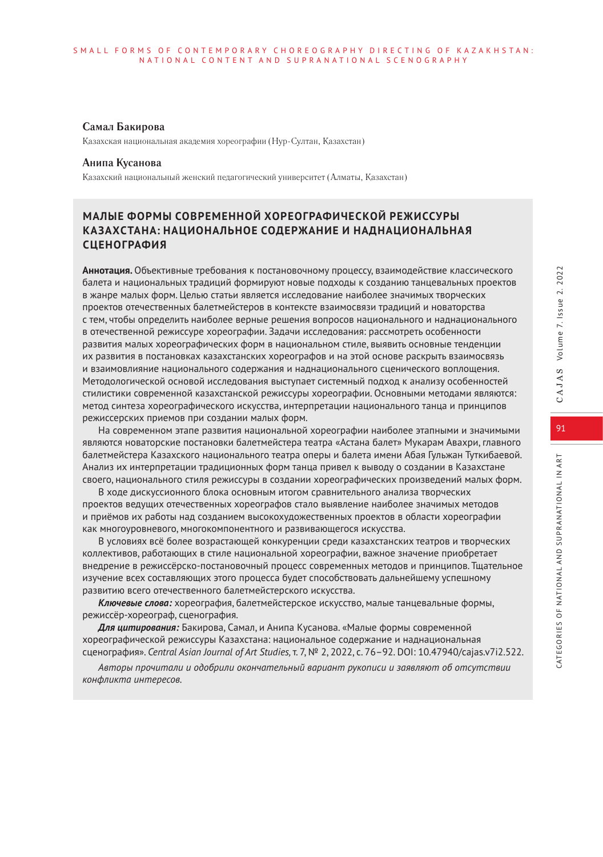#### **Самал Бакирова**

Казахская национальная академия хореографии (Нур-Султан, Казахстан)

#### **Анипа Кусанова**

Казахский национальный женский педагогический университет (Алматы, Казахстан)

# **МАЛЫЕ ФОРМЫ СОВРЕМЕННОЙ ХОРЕОГРАФИЧЕСКОЙ РЕЖИССУРЫ КАЗАХСТАНА: НАЦИОНАЛЬНОЕ СОДЕРЖАНИЕ И НАДНАЦИОНАЛЬНАЯ СЦЕНОГРАФИЯ**

**Аннотация.** Объективные требования к постановочному процессу, взаимодействие классического балета и национальных традиций формируют новые подходы к созданию танцевальных проектов в жанре малых форм. Целью статьи является исследование наиболее значимых творческих проектов отечественных балетмейстеров в контексте взаимосвязи традиций и новаторства с тем, чтобы определить наиболее верные решения вопросов национального и наднационального в отечественной режиссуре хореографии. Задачи исследования: рассмотреть особенности развития малых хореографических форм в национальном стиле, выявить основные тенденции их развития в постановках казахстанских хореографов и на этой основе раскрыть взаимосвязь и взаимовлияние национального содержания и наднационального сценического воплощения. Методологической основой исследования выступает системный подход к анализу особенностей стилистики современной казахстанской режиссуры хореографии. Основными методами являются: метод синтеза хореографического искусства, интерпретации национального танца и принципов режиссерских приемов при создании малых форм.

На современном этапе развития национальной хореографии наиболее этапными и значимыми являются новаторские постановки балетмейстера театра «Астана балет» Мукарам Авахри, главного балетмейстера Казахского национального театра оперы и балета имени Абая Гульжан Туткибаевой. Анализ их интерпретации традиционных форм танца привел к выводу о создании в Казахстане своего, национального стиля режиссуры в создании хореографических произведений малых форм.

В ходе дискуссионного блока основным итогом сравнительного анализа творческих проектов ведущих отечественных хореографов стало выявление наиболее значимых методов и приёмов их работы над созданием высокохудожественных проектов в области хореографии как многоуровневого, многокомпонентного и развивающегося искусства.

В условиях всё более возрастающей конкуренции среди казахстанских театров и творческих коллективов, работающих в стиле национальной хореографии, важное значение приобретает внедрение в режиссёрско-постановочный процесс современных методов и принципов. Тщательное изучение всех составляющих этого процесса будет способствовать дальнейшему успешному развитию всего отечественного балетмейстерского искусства.

*Ключевые слова:* хореография, балетмейстерское искусство, малые танцевальные формы, режиссёр-хореограф, сценография.

*Для цитирования:* Бакирова, Самал, и Анипа Кусанова. «Малые формы современной хореографической режиссуры Казахстана: национальное содержание и наднациональная сценография». *Central Asian Journal of Art Studies,* т. 7, № 2, 2022, с. 76–92. DOI: 10.47940/cajas.v7i2.522.

*Авторы прочитали и одобрили окончательный вариант рукописи и заявляют об отсутствии конфликта интересов.*